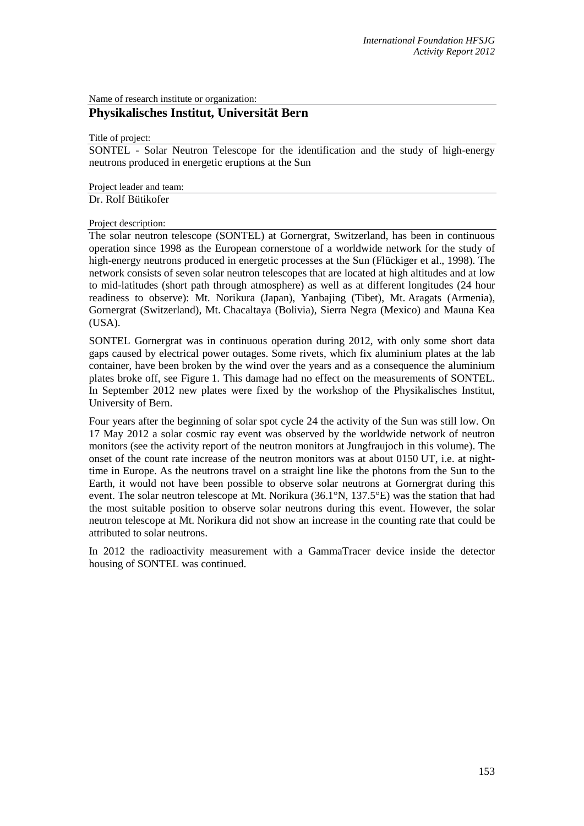Name of research institute or organization:

## **Physikalisches Institut, Universität Bern**

Title of project:

SONTEL - Solar Neutron Telescope for the identification and the study of high-energy neutrons produced in energetic eruptions at the Sun

Project leader and team:

Dr. Rolf Bütikofer

Project description:

The solar neutron telescope (SONTEL) at Gornergrat, Switzerland, has been in continuous operation since 1998 as the European cornerstone of a worldwide network for the study of high-energy neutrons produced in energetic processes at the Sun (Flückiger et al., 1998). The network consists of seven solar neutron telescopes that are located at high altitudes and at low to mid-latitudes (short path through atmosphere) as well as at different longitudes (24 hour readiness to observe): Mt. Norikura (Japan), Yanbajing (Tibet), Mt. Aragats (Armenia), Gornergrat (Switzerland), Mt. Chacaltaya (Bolivia), Sierra Negra (Mexico) and Mauna Kea (USA).

SONTEL Gornergrat was in continuous operation during 2012, with only some short data gaps caused by electrical power outages. Some rivets, which fix aluminium plates at the lab container, have been broken by the wind over the years and as a consequence the aluminium plates broke off, see Figure 1. This damage had no effect on the measurements of SONTEL. In September 2012 new plates were fixed by the workshop of the Physikalisches Institut, University of Bern.

Four years after the beginning of solar spot cycle 24 the activity of the Sun was still low. On 17 May 2012 a solar cosmic ray event was observed by the worldwide network of neutron monitors (see the activity report of the neutron monitors at Jungfraujoch in this volume). The onset of the count rate increase of the neutron monitors was at about 0150 UT, i.e. at nighttime in Europe. As the neutrons travel on a straight line like the photons from the Sun to the Earth, it would not have been possible to observe solar neutrons at Gornergrat during this event. The solar neutron telescope at Mt. Norikura (36.1°N, 137.5°E) was the station that had the most suitable position to observe solar neutrons during this event. However, the solar neutron telescope at Mt. Norikura did not show an increase in the counting rate that could be attributed to solar neutrons.

In 2012 the radioactivity measurement with a GammaTracer device inside the detector housing of SONTEL was continued.